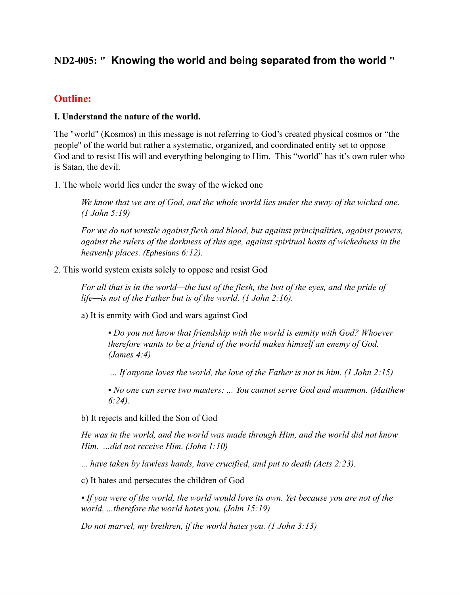# **ND2-005: " Knowing the world and being separated from the world "**

# **Outline:**

#### **I. Understand the nature of the world.**

The "world" (Kosmos) in this message is not referring to God's created physical cosmos or "the people'' of the world but rather a systematic, organized, and coordinated entity set to oppose God and to resist His will and everything belonging to Him. This "world" has it's own ruler who is Satan, the devil.

1. The whole world lies under the sway of the wicked one

*We know that we are of God, and the whole world lies under the sway of the wicked one. (1 John 5:19)*

*For we do not wrestle against flesh and blood, but against principalities, against powers, against the rulers of the darkness of this age, against spiritual hosts of wickedness in the heavenly places. (Ephesians 6:12).*

#### 2. This world system exists solely to oppose and resist God

For all that is in the world—the lust of the flesh, the lust of the eyes, and the pride of *life—is not of the Father but is of the world. (1 John 2:16).*

a) It is enmity with God and wars against God

▪ *Do you not know that friendship with the world is enmity with God? Whoever therefore wants to be a friend of the world makes himself an enemy of God. (James 4:4)*

*... If anyone loves the world, the love of the Father is not in him. (1 John 2:15)*

▪ *No one can serve two masters: ... You cannot serve God and mammon. (Matthew 6:24).*

b) It rejects and killed the Son of God

*He was in the world, and the world was made through Him, and the world did not know Him. ...did not receive Him. (John 1:10)*

.*.. have taken by lawless hands, have crucified, and put to death (Acts 2:23).*

c) It hates and persecutes the children of God

▪ *If you were of the world, the world would love its own. Yet because you are not of the world,* .*..therefore the world hates you. (John 15:19)*

*Do not marvel, my brethren, if the world hates you. (1 John 3:13)*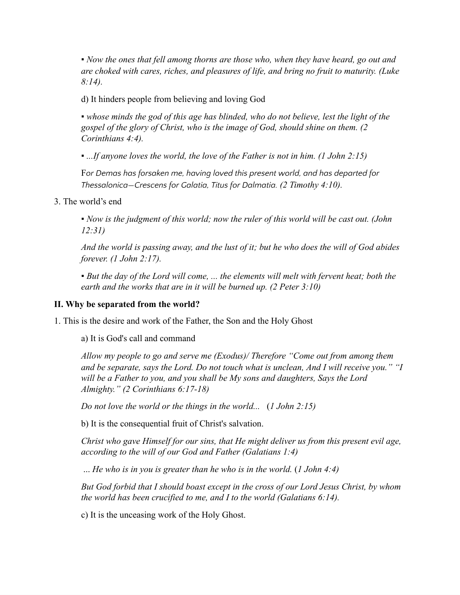*▪ Now the ones that fell among thorns are those who, when they have heard, go out and are choked with cares, riches, and pleasures of life, and bring no fruit to maturity. (Luke 8:14).*

d) It hinders people from believing and loving God

▪ *whose minds the god of this age has blinded, who do not believe, lest the light of the gospel of the glory of Christ, who is the image of God, should shine on them. (2 Corinthians 4:4).*

▪ *...If anyone loves the world, the love of the Father is not in him. (1 John 2:15)*

F*or Demas has forsaken me, having loved this present world, and has departed for Thessalonica—Crescens for Galatia, Titus for Dalmatia. (2 Timothy 4:10).*

3. The world's end

▪ *Now is the judgment of this world; now the ruler of this world will be cast out. (John 12:31)*

And the world is passing away, and the lust of it; but he who does the will of God abides *forever. (1 John 2:17).*

▪ *But the day of the Lord will come, ... the elements will melt with fervent heat; both the earth and the works that are in it will be burned up. (2 Peter 3:10)*

#### **II. Why be separated from the world?**

1. This is the desire and work of the Father, the Son and the Holy Ghost

a) It is God's call and command

*Allow my people to go and serve me (Exodus)/ Therefore "Come out from among them and be separate, says the Lord. Do not touch what is unclean, And I will receive you." "I will be a Father to you, and you shall be My sons and daughters, Says the Lord Almighty." (2 Corinthians 6:17-18)*

*Do not love the world or the things in the world...* (*1 John 2:15)*

b) It is the consequential fruit of Christ's salvation.

*Christ who gave Himself for our sins, that He might deliver us from this present evil age, according to the will of our God and Father (Galatians 1:4)*

... *He who is in you is greater than he who is in the world.* (*1 John 4:4)*

*But God forbid that I should boast except in the cross of our Lord Jesus Christ, by whom the world has been crucified to me, and I to the world (Galatians 6:14).*

c) It is the unceasing work of the Holy Ghost.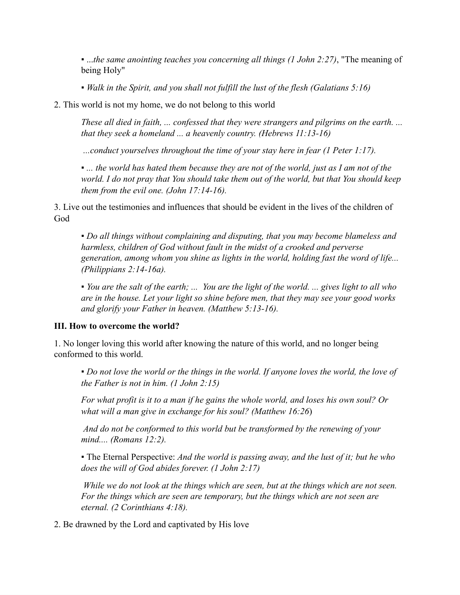▪ ...*the same anointing teaches you concerning all things (1 John 2:27)*, "The meaning of being Holy"

▪ *Walk in the Spirit, and you shall not fulfill the lust of the flesh (Galatians 5:16)*

2. This world is not my home, we do not belong to this world

*These all died in faith, ... confessed that they were strangers and pilgrims on the earth. ... that they seek a homeland ... a heavenly country. (Hebrews 11:13-16)*

*...conduct yourselves throughout the time of your stay here in fear (1 Peter 1:17).*

• ... the world has hated them because they are not of the world, just as I am not of the *world. I do not pray that You should take them out of the world, but that You should keep them from the evil one. (John 17:14-16).*

3. Live out the testimonies and influences that should be evident in the lives of the children of God

▪ *Do all things without complaining and disputing, that you may become blameless and harmless, children of God without fault in the midst of a crooked and perverse generation, among whom you shine as lights in the world, holding fast the word of life... (Philippians 2:14-16a).*

• You are the salt of the earth; ... You are the light of the world. ... gives light to all who *are in the house. Let your light so shine before men, that they may see your good works and glorify your Father in heaven. (Matthew 5:13-16).*

#### **III. How to overcome the world?**

1. No longer loving this world after knowing the nature of this world, and no longer being conformed to this world.

▪ *Do not love the world or the things in the world. If anyone loves the world, the love of the Father is not in him. (1 John 2:15)*

For what profit is it to a man if he gains the whole world, and loses his own soul? Or *what will a man give in exchange for his soul? (Matthew 16:26*)

*And do not be conformed to this world but be transformed by the renewing of your mind.... (Romans 12:2).*

▪ The Eternal Perspective: *And the world is passing away, and the lust of it; but he who does the will of God abides forever. (1 John 2:17)*

*While we do not look at the things which are seen, but at the things which are not seen. For the things which are seen are temporary, but the things which are not seen are eternal. (2 Corinthians 4:18).*

2. Be drawned by the Lord and captivated by His love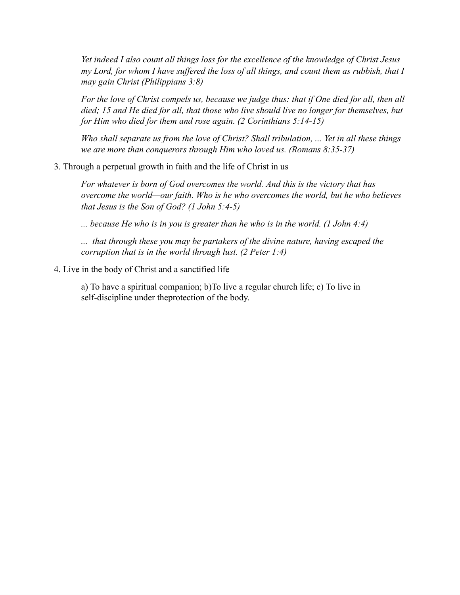*Yet indeed I also count all things loss for the excellence of the knowledge of Christ Jesus my Lord, for whom I have suffered the loss of all things, and count them as rubbish, that I may gain Christ (Philippians 3:8)*

For the love of Christ compels us, because we judge thus: that if One died for all, then all *died; 15 and He died for all, that those who live should live no longer for themselves, but for Him who died for them and rose again. (2 Corinthians 5:14-15)*

*Who shall separate us from the love of Christ? Shall tribulation, ... Yet in all these things we are more than conquerors through Him who loved us. (Romans 8:35-37)*

3. Through a perpetual growth in faith and the life of Christ in us

*For whatever is born of God overcomes the world. And this is the victory that has overcome the world—our faith. Who is he who overcomes the world, but he who believes that Jesus is the Son of God? (1 John 5:4-5)*

*... because He who is in you is greater than he who is in the world. (1 John 4:4)*

*... that through these you may be partakers of the divine nature, having escaped the corruption that is in the world through lust. (2 Peter 1:4)*

4. Live in the body of Christ and a sanctified life

a) To have a spiritual companion; b)To live a regular church life; c) To live in self-discipline under theprotection of the body.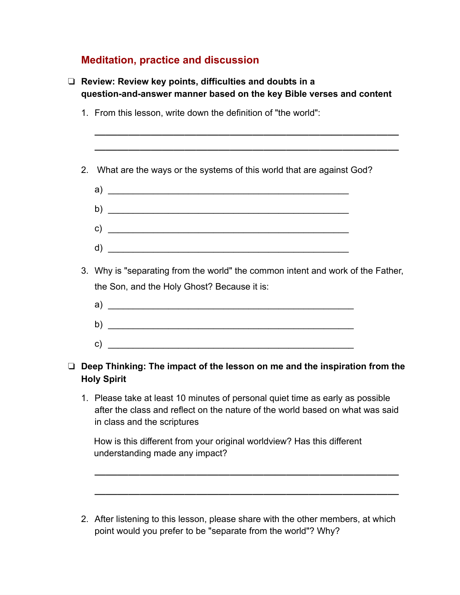# **Meditation, practice and discussion**

| What are the ways or the systems of this world that are against God?                                                                                                                           |
|------------------------------------------------------------------------------------------------------------------------------------------------------------------------------------------------|
| b) $\overline{\phantom{a}}$                                                                                                                                                                    |
| c) $\overline{\phantom{a}}$                                                                                                                                                                    |
|                                                                                                                                                                                                |
| Why is "separating from the world" the common intent and work of the Father,<br>the Son, and the Holy Ghost? Because it is:                                                                    |
|                                                                                                                                                                                                |
|                                                                                                                                                                                                |
|                                                                                                                                                                                                |
| Deep Thinking: The impact of the lesson on me and the inspiration from the<br><b>Holy Spirit</b>                                                                                               |
| 1. Please take at least 10 minutes of personal quiet time as early as possible<br>after the class and reflect on the nature of the world based on what was said<br>in class and the scriptures |
| How is this different from your original worldview? Has this different<br>understanding made any impact?                                                                                       |
|                                                                                                                                                                                                |

2. After listening to this lesson, please share with the other members, at which point would you prefer to be "separate from the world"? Why?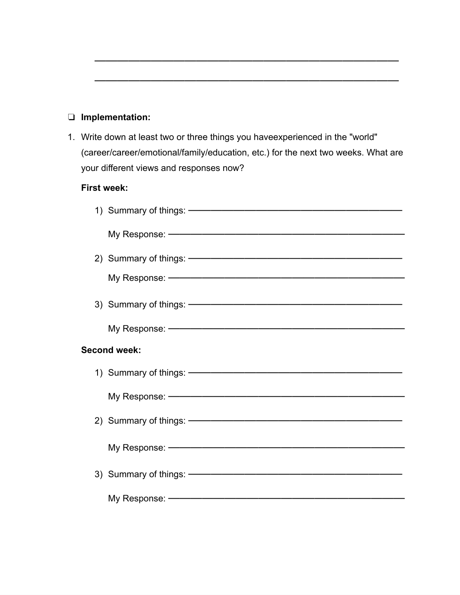# ❏ **Implementation:**

1. Write down at least two or three things you haveexperienced in the "world" (career/career/emotional/family/education, etc.) for the next two weeks. What are your different views and responses now?

———————————————————————————

———————————————————————————

# **First week:**

|                     | My Response: www.communication.com/www.com/www.com/www.com/www.com/www.com/www.com/www.com/www.com/w           |
|---------------------|----------------------------------------------------------------------------------------------------------------|
|                     |                                                                                                                |
|                     |                                                                                                                |
|                     |                                                                                                                |
|                     |                                                                                                                |
| <b>Second week:</b> |                                                                                                                |
|                     |                                                                                                                |
|                     |                                                                                                                |
|                     |                                                                                                                |
|                     | My Response: No. 2006. All and the Manual All and the Manual All and the Manual All and the Manual All and the |
|                     |                                                                                                                |
|                     |                                                                                                                |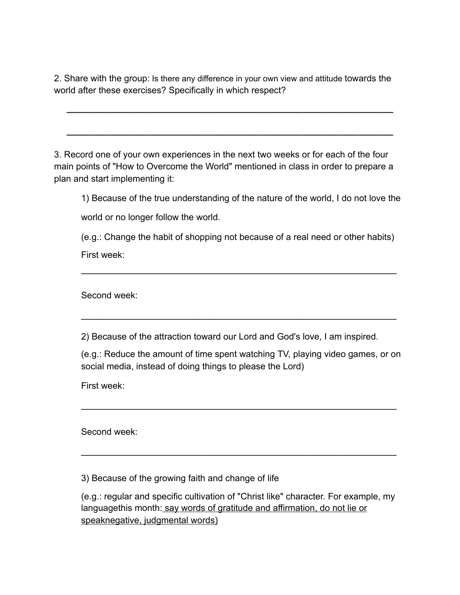2. Share with the group: Is there any difference in your own view and attitude towards the world after these exercises? Specifically in which respect?

 $\overline{\phantom{a}}$  , and the contract of the contract of the contract of the contract of the contract of the contract of the contract of the contract of the contract of the contract of the contract of the contract of the contrac

 $\overline{\phantom{a}}$  , and the contract of the contract of the contract of the contract of the contract of the contract of the contract of the contract of the contract of the contract of the contract of the contract of the contrac

3. Record one of your own experiences in the next two weeks or for each of the four main points of "How to Overcome the World" mentioned in class in order to prepare a plan and start implementing it:

1) Because of the true understanding of the nature of the world, I do not love the world or no longer follow the world.

(e.g.: Change the habit of shopping not because of a real need or other habits) First week:

———————————————————————————————————

———————————————————————————————————

Second week:

2) Because of the attraction toward our Lord and God's love, I am inspired.

(e.g.: Reduce the amount of time spent watching TV, playing video games, or on social media, instead of doing things to please the Lord)

———————————————————————————————————

———————————————————————————————————

First week:

Second week:

3) Because of the growing faith and change of life

(e.g.: regular and specific cultivation of "Christ like" character. For example, my languagethis month: say words of gratitude and affirmation, do not lie or speaknegative, judgmental words)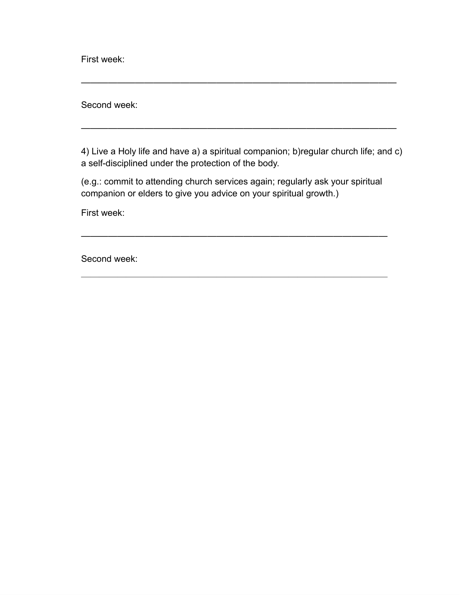First week:

Second week:

4) Live a Holy life and have a) a spiritual companion; b)regular church life; and c) a self-disciplined under the protection of the body.

———————————————————————————————————

———————————————————————————————————

(e.g.: commit to attending church services again; regularly ask your spiritual companion or elders to give you advice on your spiritual growth.)

——————————————————————————————————

 $\frac{1}{\sqrt{2}}$  ,  $\frac{1}{\sqrt{2}}$  ,  $\frac{1}{\sqrt{2}}$  ,  $\frac{1}{\sqrt{2}}$  ,  $\frac{1}{\sqrt{2}}$  ,  $\frac{1}{\sqrt{2}}$  ,  $\frac{1}{\sqrt{2}}$  ,  $\frac{1}{\sqrt{2}}$  ,  $\frac{1}{\sqrt{2}}$  ,  $\frac{1}{\sqrt{2}}$  ,  $\frac{1}{\sqrt{2}}$  ,  $\frac{1}{\sqrt{2}}$  ,  $\frac{1}{\sqrt{2}}$  ,  $\frac{1}{\sqrt{2}}$  ,  $\frac{1}{\sqrt{2}}$ 

First week:

Second week: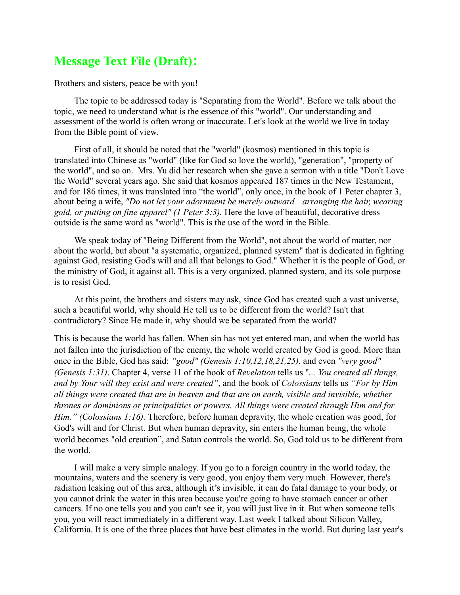# **Message Text File (Draft):**

Brothers and sisters, peace be with you!

The topic to be addressed today is "Separating from the World". Before we talk about the topic, we need to understand what is the essence of this "world". Our understanding and assessment of the world is often wrong or inaccurate. Let's look at the world we live in today from the Bible point of view.

First of all, it should be noted that the "world" (kosmos) mentioned in this topic is translated into Chinese as "world" (like for God so love the world), "generation", "property of the world", and so on. Mrs. Yu did her research when she gave a sermon with a title "Don't Love the World" several years ago. She said that kosmos appeared 187 times in the New Testament, and for 186 times, it was translated into "the world", only once, in the book of 1 Peter chapter 3, about being a wife, *"Do not let your adornment be merely outward—arranging the hair, wearing gold, or putting on fine apparel" (1 Peter 3:3).* Here the love of beautiful, decorative dress outside is the same word as "world". This is the use of the word in the Bible.

We speak today of "Being Different from the World", not about the world of matter, nor about the world, but about "a systematic, organized, planned system" that is dedicated in fighting against God, resisting God's will and all that belongs to God." Whether it is the people of God, or the ministry of God, it against all. This is a very organized, planned system, and its sole purpose is to resist God.

At this point, the brothers and sisters may ask, since God has created such a vast universe, such a beautiful world, why should He tell us to be different from the world? Isn't that contradictory? Since He made it, why should we be separated from the world?

This is because the world has fallen. When sin has not yet entered man, and when the world has not fallen into the jurisdiction of the enemy, the whole world created by God is good. More than once in the Bible, God has said: *"good" (Genesis 1:10,12,18,21,25),* and even *"very good" (Genesis 1:31)*. Chapter 4, verse 11 of the book of *Revelation* tells us "*... You created all things, and by Your will they exist and were created"*, and the book of *Colossians* tells us *"For by Him all things were created that are in heaven and that are on earth, visible and invisible, whether thrones or dominions or principalities or powers. All things were created through Him and for Him." (Colossians 1:16).* Therefore, before human depravity, the whole creation was good, for God's will and for Christ. But when human depravity, sin enters the human being, the whole world becomes "old creation", and Satan controls the world. So, God told us to be different from the world.

I will make a very simple analogy. If you go to a foreign country in the world today, the mountains, waters and the scenery is very good, you enjoy them very much. However, there's radiation leaking out of this area, although it's invisible, it can do fatal damage to your body, or you cannot drink the water in this area because you're going to have stomach cancer or other cancers. If no one tells you and you can't see it, you will just live in it. But when someone tells you, you will react immediately in a different way. Last week I talked about Silicon Valley, California. It is one of the three places that have best climates in the world. But during last year's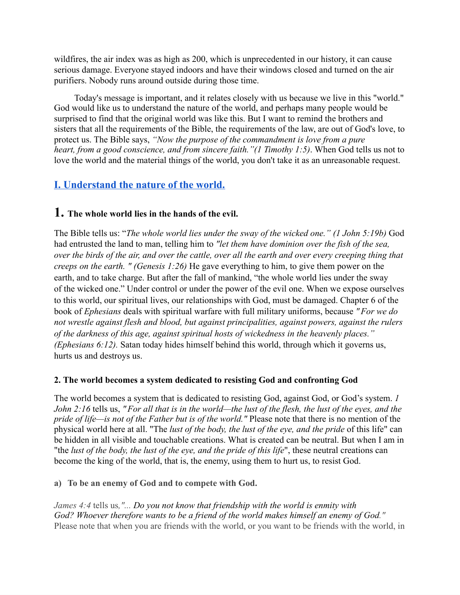wildfires, the air index was as high as 200, which is unprecedented in our history, it can cause serious damage. Everyone stayed indoors and have their windows closed and turned on the air purifiers. Nobody runs around outside during those time.

Today's message is important, and it relates closely with us because we live in this "world." God would like us to understand the nature of the world, and perhaps many people would be surprised to find that the original world was like this. But I want to remind the brothers and sisters that all the requirements of the Bible, the requirements of the law, are out of God's love, to protect us. The Bible says, *"Now the purpose of the commandment is love from a pure heart, from a good conscience, and from sincere faith."(1 Timothy 1:5)*. When God tells us not to love the world and the material things of the world, you don't take it as an unreasonable request.

# **I. Understand the nature of the world.**

# **1. The whole world lies in the hands of the evil.**

The Bible tells us: "*The whole world lies under the sway of the wicked one." (1 John 5:19b)* God had entrusted the land to man, telling him to *"let them have dominion over the fish of the sea,* over the birds of the air, and over the cattle, over all the earth and over every creeping thing that *creeps on the earth. " (Genesis 1:26)* He gave everything to him, to give them power on the earth, and to take charge. But after the fall of mankind, "the whole world lies under the sway of the wicked one." Under control or under the power of the evil one. When we expose ourselves to this world, our spiritual lives, our relationships with God, must be damaged. Chapter 6 of the book of *Ephesians* deals with spiritual warfare with full military uniforms, because *"For we do not wrestle against flesh and blood, but against principalities, against powers, against the rulers of the darkness of this age, against spiritual hosts of wickedness in the heavenly places." (Ephesians 6:12).* Satan today hides himself behind this world, through which it governs us, hurts us and destroys us.

#### **2. The world becomes a system dedicated to resisting God and confronting God**

The world becomes a system that is dedicated to resisting God, against God, or God's system. *1* John 2:16 tells us, "For all that is in the world—the lust of the flesh, the lust of the eyes, and the *pride of life—is not of the Father but is of the world."* Please note that there is no mention of the physical world here at all. "The *lust of the body, the lust of the eye, and the pride* of this life" can be hidden in all visible and touchable creations. What is created can be neutral. But when I am in "the *lust of the body, the lust of the eye, and the pride of this life*", these neutral creations can become the king of the world, that is, the enemy, using them to hurt us, to resist God.

**a) To be an enemy of God and to compete with God.**

*James 4:4* tells us*,"... Do you not know that friendship with the world is enmity with God? Whoever therefore wants to be a friend of the world makes himself an enemy of God."* Please note that when you are friends with the world, or you want to be friends with the world, in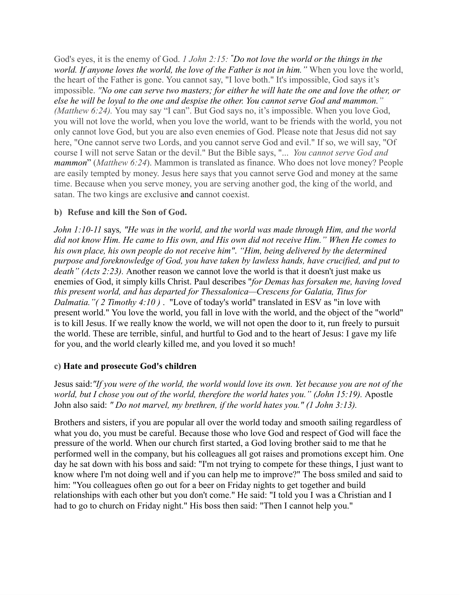God's eyes, it is the enemy of God. *1 John 2:15: "Do not love the world or the things in the world. If anyone loves the world, the love of the Father is not in him."* When you love the world, the heart of the Father is gone. You cannot say, "I love both." It's impossible, God says it's impossible. *"No one can serve two masters; for either he will hate the one and love the other, or else he will be loyal to the one and despise the other. You cannot serve God and mammon." (Matthew 6:24).* You may say "I can". But God says no, it's impossible. When you love God, you will not love the world, when you love the world, want to be friends with the world, you not only cannot love God, but you are also even enemies of God. Please note that Jesus did not say here, "One cannot serve two Lords, and you cannot serve God and evil." If so, we will say, "Of course I will not serve Satan or the devil." But the Bible says, "... *You cannot serve God and mammon*" (*Matthew 6:24*). Mammon is translated as finance. Who does not love money? People are easily tempted by money. Jesus here says that you cannot serve God and money at the same time. Because when you serve money, you are serving another god, the king of the world, and satan. The two kings are exclusive and cannot coexist.

### **b) Refuse and kill the Son of God.**

*John 1:10-11* says*, "He was in the world, and the world was made through Him, and the world* did not know Him. He came to His own, and His own did not receive Him." When He comes to *his own place, his own people do not receive him"*. *"Him, being delivered by the determined purpose and foreknowledge of God, you have taken by lawless hands, have crucified, and put to death" (Acts 2:23).* Another reason we cannot love the world is that it doesn't just make us enemies of God, it simply kills Christ. Paul describes "*for Demas has forsaken me, having loved this present world, and has departed for Thessalonica—Crescens for Galatia, Titus for Dalmatia."( 2 Timothy 4:10 )* . "Love of today's world" translated in ESV as "in love with present world." You love the world, you fall in love with the world, and the object of the "world" is to kill Jesus. If we really know the world, we will not open the door to it, run freely to pursuit the world. These are terrible, sinful, and hurtful to God and to the heart of Jesus: I gave my life for you, and the world clearly killed me, and you loved it so much!

#### **c) Hate and prosecute God's children**

Jesus said: "If you were of the world, the world would love its own. Yet because you are not of the *world, but I chose you out of the world, therefore the world hates you." (John 15:19).* Apostle John also said: *" Do not marvel, my brethren, if the world hates you." (1 John 3:13).*

Brothers and sisters, if you are popular all over the world today and smooth sailing regardless of what you do, you must be careful. Because those who love God and respect of God will face the pressure of the world. When our church first started, a God loving brother said to me that he performed well in the company, but his colleagues all got raises and promotions except him. One day he sat down with his boss and said: "I'm not trying to compete for these things, I just want to know where I'm not doing well and if you can help me to improve?" The boss smiled and said to him: "You colleagues often go out for a beer on Friday nights to get together and build relationships with each other but you don't come." He said: "I told you I was a Christian and I had to go to church on Friday night." His boss then said: "Then I cannot help you."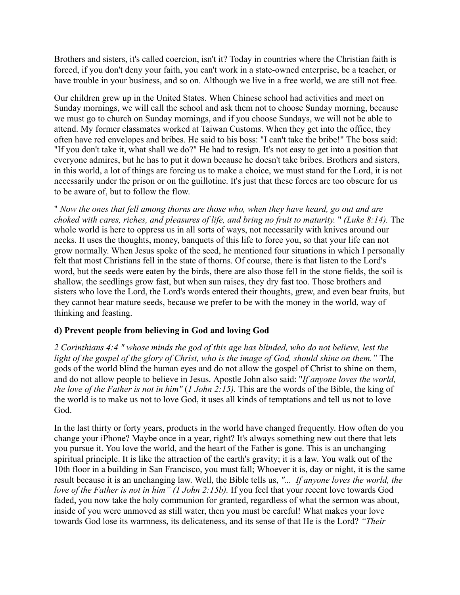Brothers and sisters, it's called coercion, isn't it? Today in countries where the Christian faith is forced, if you don't deny your faith, you can't work in a state-owned enterprise, be a teacher, or have trouble in your business, and so on. Although we live in a free world, we are still not free.

Our children grew up in the United States. When Chinese school had activities and meet on Sunday mornings, we will call the school and ask them not to choose Sunday morning, because we must go to church on Sunday mornings, and if you choose Sundays, we will not be able to attend. My former classmates worked at Taiwan Customs. When they get into the office, they often have red envelopes and bribes. He said to his boss: "I can't take the bribe!" The boss said: "If you don't take it, what shall we do?" He had to resign. It's not easy to get into a position that everyone admires, but he has to put it down because he doesn't take bribes. Brothers and sisters, in this world, a lot of things are forcing us to make a choice, we must stand for the Lord, it is not necessarily under the prison or on the guillotine. It's just that these forces are too obscure for us to be aware of, but to follow the flow.

" *Now the ones that fell among thorns are those who, when they have heard, go out and are choked with cares, riches, and pleasures of life, and bring no fruit to maturity.* " *(Luke 8:14).* The whole world is here to oppress us in all sorts of ways, not necessarily with knives around our necks. It uses the thoughts, money, banquets of this life to force you, so that your life can not grow normally. When Jesus spoke of the seed, he mentioned four situations in which I personally felt that most Christians fell in the state of thorns. Of course, there is that listen to the Lord's word, but the seeds were eaten by the birds, there are also those fell in the stone fields, the soil is shallow, the seedlings grow fast, but when sun raises, they dry fast too. Those brothers and sisters who love the Lord, the Lord's words entered their thoughts, grew, and even bear fruits, but they cannot bear mature seeds, because we prefer to be with the money in the world, way of thinking and feasting.

#### **d) Prevent people from believing in God and loving God**

2 Corinthians 4:4" whose minds the god of this age has blinded, who do not believe, lest the light of the gospel of the glory of Christ, who is the image of God, should shine on them." The gods of the world blind the human eyes and do not allow the gospel of Christ to shine on them, and do not allow people to believe in Jesus. Apostle John also said: "*If anyone loves the world, the love of the Father is not in him"* (*1 John 2:15).* This are the words of the Bible, the king of the world is to make us not to love God, it uses all kinds of temptations and tell us not to love God.

In the last thirty or forty years, products in the world have changed frequently. How often do you change your iPhone? Maybe once in a year, right? It's always something new out there that lets you pursue it. You love the world, and the heart of the Father is gone. This is an unchanging spiritual principle. It is like the attraction of the earth's gravity; it is a law. You walk out of the 10th floor in a building in San Francisco, you must fall; Whoever it is, day or night, it is the same result because it is an unchanging law. Well, the Bible tells us, *"... If anyone loves the world, the love of the Father is not in him" (1 John 2:15b).* If you feel that your recent love towards God faded, you now take the holy communion for granted, regardless of what the sermon was about, inside of you were unmoved as still water, then you must be careful! What makes your love towards God lose its warmness, its delicateness, and its sense of that He is the Lord? *"Their*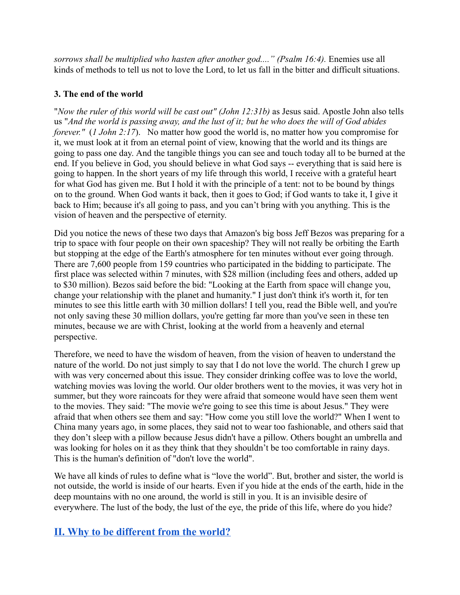*sorrows shall be multiplied who hasten after another god...." (Psalm 16:4).* Enemies use all kinds of methods to tell us not to love the Lord, to let us fall in the bitter and difficult situations.

### **3. The end of the world**

"*Now the ruler of this world will be cast out" (John 12:31b)* as Jesus said. Apostle John also tells us "And the world is passing away, and the lust of it; but he who does the will of God abides *forever."* (*1 John 2:17*). No matter how good the world is, no matter how you compromise for it, we must look at it from an eternal point of view, knowing that the world and its things are going to pass one day. And the tangible things you can see and touch today all to be burned at the end. If you believe in God, you should believe in what God says -- everything that is said here is going to happen. In the short years of my life through this world, I receive with a grateful heart for what God has given me. But I hold it with the principle of a tent: not to be bound by things on to the ground. When God wants it back, then it goes to God; if God wants to take it, I give it back to Him; because it's all going to pass, and you can't bring with you anything. This is the vision of heaven and the perspective of eternity.

Did you notice the news of these two days that Amazon's big boss Jeff Bezos was preparing for a trip to space with four people on their own spaceship? They will not really be orbiting the Earth but stopping at the edge of the Earth's atmosphere for ten minutes without ever going through. There are 7,600 people from 159 countries who participated in the bidding to participate. The first place was selected within 7 minutes, with \$28 million (including fees and others, added up to \$30 million). Bezos said before the bid: "Looking at the Earth from space will change you, change your relationship with the planet and humanity." I just don't think it's worth it, for ten minutes to see this little earth with 30 million dollars! I tell you, read the Bible well, and you're not only saving these 30 million dollars, you're getting far more than you've seen in these ten minutes, because we are with Christ, looking at the world from a heavenly and eternal perspective.

Therefore, we need to have the wisdom of heaven, from the vision of heaven to understand the nature of the world. Do not just simply to say that I do not love the world. The church I grew up with was very concerned about this issue. They consider drinking coffee was to love the world, watching movies was loving the world. Our older brothers went to the movies, it was very hot in summer, but they wore raincoats for they were afraid that someone would have seen them went to the movies. They said: "The movie we're going to see this time is about Jesus." They were afraid that when others see them and say: "How come you still love the world?" When I went to China many years ago, in some places, they said not to wear too fashionable, and others said that they don't sleep with a pillow because Jesus didn't have a pillow. Others bought an umbrella and was looking for holes on it as they think that they shouldn't be too comfortable in rainy days. This is the human's definition of "don't love the world".

We have all kinds of rules to define what is "love the world". But, brother and sister, the world is not outside, the world is inside of our hearts. Even if you hide at the ends of the earth, hide in the deep mountains with no one around, the world is still in you. It is an invisible desire of everywhere. The lust of the body, the lust of the eye, the pride of this life, where do you hide?

# **II. Why to be different from the world?**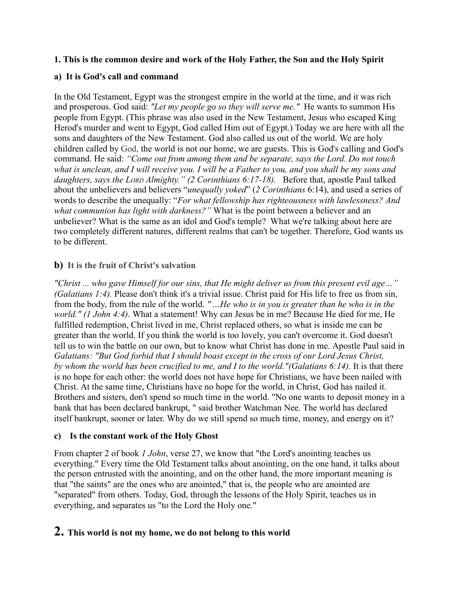#### **1. This is the common desire and work of the Holy Father, the Son and the Holy Spirit**

### **a) It is God's call and command**

In the Old Testament, Egypt was the strongest empire in the world at the time, and it was rich and prosperous. God said: *"Let my people go so they will serve me."* He wants to summon His people from Egypt. (This phrase was also used in the New Testament, Jesus who escaped King Herod's murder and went to Egypt, God called Him out of Egypt.) Today we are here with all the sons and daughters of the New Testament. God also called us out of the world. We are holy children called by God, the world is not our home, we are guests. This is God's calling and God's command. He said: *"Come out from among them and be separate, says the Lord. Do not touch* what is unclean, and I will receive you. I will be a Father to you, and you shall be my sons and *daughters, says the LORD Almighty." (2 Corinthians 6:17-18).* Before that, apostle Paul talked about the unbelievers and believers "*unequally yoked*" (*2 Corinthians* 6:14), and used a series of words to describe the unequally: "*For what fellowship has righteousness with lawlessness? And what communion has light with darkness?"* What is the point between a believer and an unbeliever? What is the same as an idol and God's temple? What we're talking about here are two completely different natures, different realms that can't be together. Therefore, God wants us to be different.

## **b) It is the fruit of Christ's salvation**

*"Christ ... who gave Himself for our sins, that He might deliver us from this present evil age…" (Galatians 1:4).* Please don't think it's a trivial issue. Christ paid for His life to free us from sin, from the body, from the rule of the world. *" …He who is in you is greater than he who is in the world." (1 John 4:4)*. What a statement! Why can Jesus be in me? Because He died for me, He fulfilled redemption, Christ lived in me, Christ replaced others, so what is inside me can be greater than the world. If you think the world is too lovely, you can't overcome it. God doesn't tell us to win the battle on our own, but to know what Christ has done in me. Apostle Paul said in *Galatians: "But God forbid that I should boast except in the cross of our Lord Jesus Christ, by whom the world has been crucified to me, and I to the world."(Galatians 6:14).* It is that there is no hope for each other: the world does not have hope for Christians, we have been nailed with Christ. At the same time, Christians have no hope for the world, in Christ, God has nailed it. Brothers and sisters, don't spend so much time in the world. "No one wants to deposit money in a bank that has been declared bankrupt, " said brother Watchman Nee. The world has declared itself bankrupt, sooner or later. Why do we still spend so much time, money, and energy on it?

#### **c) Is the constant work of the Holy Ghost**

From chapter 2 of book *1 John*, verse 27, we know that "the Lord's anointing teaches us everything." Every time the Old Testament talks about anointing, on the one hand, it talks about the person entrusted with the anointing, and on the other hand, the more important meaning is that "the saints" are the ones who are anointed," that is, the people who are anointed are "separated" from others. Today, God, through the lessons of the Holy Spirit, teaches us in everything, and separates us "to the Lord the Holy one."

# **2. This world is not my home, we do not belong to this world**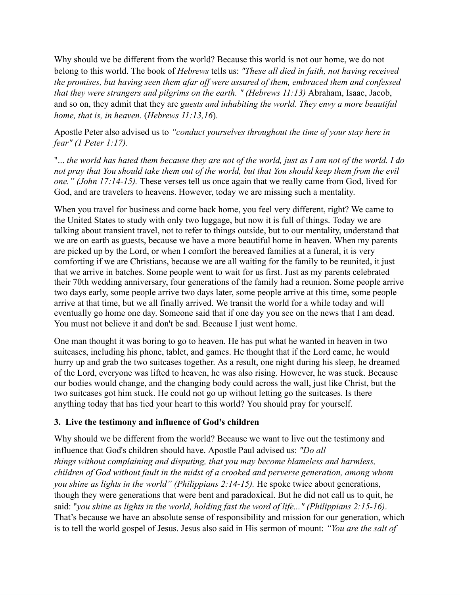Why should we be different from the world? Because this world is not our home, we do not belong to this world. The book of *Hebrews* tells us: *"These all died in faith, not having received the promises, but having seen them afar off were assured of them, embraced them and confessed that they were strangers and pilgrims on the earth. " (Hebrews 11:13)* Abraham, Isaac, Jacob, and so on, they admit that they are *guests and inhabiting the world. They envy a more beautiful home, that is, in heaven.* (*Hebrews 11:13,16*).

Apostle Peter also advised us to *"conduct yourselves throughout the time of your stay here in fear" (1 Peter 1:17).*

"... the world has hated them because they are not of the world, just as I am not of the world. I do not pray that You should take them out of the world, but that You should keep them from the evil *one." (John 17:14-15).* These verses tell us once again that we really came from God, lived for God, and are travelers to heavens. However, today we are missing such a mentality.

When you travel for business and come back home, you feel very different, right? We came to the United States to study with only two luggage, but now it is full of things. Today we are talking about transient travel, not to refer to things outside, but to our mentality, understand that we are on earth as guests, because we have a more beautiful home in heaven. When my parents are picked up by the Lord, or when I comfort the bereaved families at a funeral, it is very comforting if we are Christians, because we are all waiting for the family to be reunited, it just that we arrive in batches. Some people went to wait for us first. Just as my parents celebrated their 70th wedding anniversary, four generations of the family had a reunion. Some people arrive two days early, some people arrive two days later, some people arrive at this time, some people arrive at that time, but we all finally arrived. We transit the world for a while today and will eventually go home one day. Someone said that if one day you see on the news that I am dead. You must not believe it and don't be sad. Because I just went home.

One man thought it was boring to go to heaven. He has put what he wanted in heaven in two suitcases, including his phone, tablet, and games. He thought that if the Lord came, he would hurry up and grab the two suitcases together. As a result, one night during his sleep, he dreamed of the Lord, everyone was lifted to heaven, he was also rising. However, he was stuck. Because our bodies would change, and the changing body could across the wall, just like Christ, but the two suitcases got him stuck. He could not go up without letting go the suitcases. Is there anything today that has tied your heart to this world? You should pray for yourself.

## **3. Live the testimony and influence of God's children**

Why should we be different from the world? Because we want to live out the testimony and influence that God's children should have. Apostle Paul advised us: *"Do all things without complaining and disputing, that you may become blameless and harmless, children of God without fault in the midst of a crooked and perverse generation, among whom you shine as lights in the world" (Philippians 2:14-15).* He spoke twice about generations, though they were generations that were bent and paradoxical. But he did not call us to quit, he said: "*you shine as lights in the world, holding fast the word of life..." (Philippians 2:15-16)*. That's because we have an absolute sense of responsibility and mission for our generation, which is to tell the world gospel of Jesus. Jesus also said in His sermon of mount: *"You are the salt of*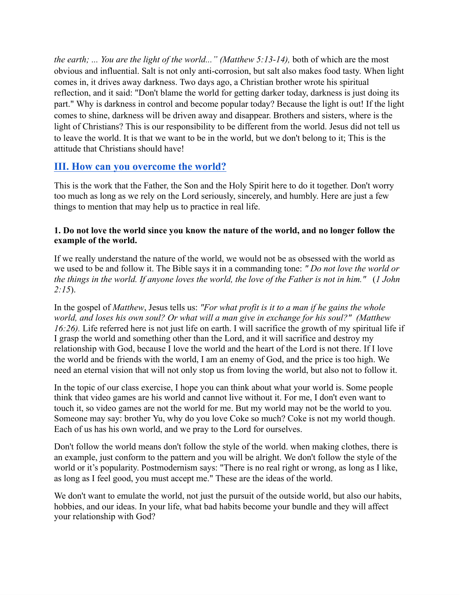*the earth; ... You are the light of the world..." (Matthew 5:13-14),* both of which are the most obvious and influential. Salt is not only anti-corrosion, but salt also makes food tasty. When light comes in, it drives away darkness. Two days ago, a Christian brother wrote his spiritual reflection, and it said: "Don't blame the world for getting darker today, darkness is just doing its part." Why is darkness in control and become popular today? Because the light is out! If the light comes to shine, darkness will be driven away and disappear. Brothers and sisters, where is the light of Christians? This is our responsibility to be different from the world. Jesus did not tell us to leave the world. It is that we want to be in the world, but we don't belong to it; This is the attitude that Christians should have!

# **III. How can you overcome the world?**

This is the work that the Father, the Son and the Holy Spirit here to do it together. Don't worry too much as long as we rely on the Lord seriously, sincerely, and humbly. Here are just a few things to mention that may help us to practice in real life.

#### **1. Do not love the world since you know the nature of the world, and no longer follow the example of the world.**

If we really understand the nature of the world, we would not be as obsessed with the world as we used to be and follow it. The Bible says it in a commanding tone: *" Do not love the world or* the things in the world. If anyone loves the world, the love of the Father is not in him." (1 John *2:15*).

In the gospel of *Matthew*, Jesus tells us: *"For what profit is it to a man if he gains the whole world, and loses his own soul? Or what will a man give in exchange for his soul?" (Matthew 16:26).* Life referred here is not just life on earth. I will sacrifice the growth of my spiritual life if I grasp the world and something other than the Lord, and it will sacrifice and destroy my relationship with God, because I love the world and the heart of the Lord is not there. If I love the world and be friends with the world, I am an enemy of God, and the price is too high. We need an eternal vision that will not only stop us from loving the world, but also not to follow it.

In the topic of our class exercise, I hope you can think about what your world is. Some people think that video games are his world and cannot live without it. For me, I don't even want to touch it, so video games are not the world for me. But my world may not be the world to you. Someone may say: brother Yu, why do you love Coke so much? Coke is not my world though. Each of us has his own world, and we pray to the Lord for ourselves.

Don't follow the world means don't follow the style of the world. when making clothes, there is an example, just conform to the pattern and you will be alright. We don't follow the style of the world or it's popularity. Postmodernism says: "There is no real right or wrong, as long as I like, as long as I feel good, you must accept me." These are the ideas of the world.

We don't want to emulate the world, not just the pursuit of the outside world, but also our habits, hobbies, and our ideas. In your life, what bad habits become your bundle and they will affect your relationship with God?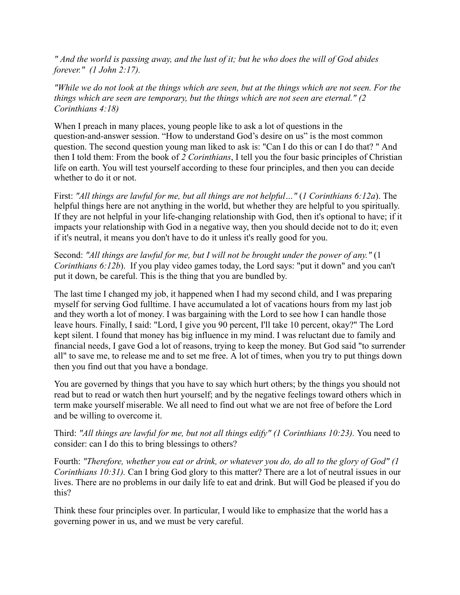" And the world is passing away, and the lust of it; but he who does the will of God abides *forever." (1 John 2:17).*

"While we do not look at the things which are seen, but at the things which are not seen. For the *things which are seen are temporary, but the things which are not seen are eternal." (2 Corinthians 4:18)*

When I preach in many places, young people like to ask a lot of questions in the question-and-answer session. "How to understand God's desire on us" is the most common question. The second question young man liked to ask is: "Can I do this or can I do that? " And then I told them: From the book of *2 Corinthians*, I tell you the four basic principles of Christian life on earth. You will test yourself according to these four principles, and then you can decide whether to do it or not.

First: *"All things are lawful for me, but all things are not helpful…"* (*1 Corinthians 6:12a*). The helpful things here are not anything in the world, but whether they are helpful to you spiritually. If they are not helpful in your life-changing relationship with God, then it's optional to have; if it impacts your relationship with God in a negative way, then you should decide not to do it; even if it's neutral, it means you don't have to do it unless it's really good for you.

Second: *"All things are lawful for me, but I will not be brought under the power of any."* (1 *Corinthians 6:12b*). If you play video games today, the Lord says: "put it down" and you can't put it down, be careful. This is the thing that you are bundled by.

The last time I changed my job, it happened when I had my second child, and I was preparing myself for serving God fulltime. I have accumulated a lot of vacations hours from my last job and they worth a lot of money. I was bargaining with the Lord to see how I can handle those leave hours. Finally, I said: "Lord, I give you 90 percent, I'll take 10 percent, okay?" The Lord kept silent. I found that money has big influence in my mind. I was reluctant due to family and financial needs, I gave God a lot of reasons, trying to keep the money. But God said "to surrender all" to save me, to release me and to set me free. A lot of times, when you try to put things down then you find out that you have a bondage.

You are governed by things that you have to say which hurt others; by the things you should not read but to read or watch then hurt yourself; and by the negative feelings toward others which in term make yourself miserable. We all need to find out what we are not free of before the Lord and be willing to overcome it.

Third: *"All things are lawful for me, but not all things edify" (1 Corinthians 10:23).* You need to consider: can I do this to bring blessings to others?

Fourth: *"Therefore, whether you eat or drink, or whatever you do, do all to the glory of God" (1 Corinthians 10:31).* Can I bring God glory to this matter? There are a lot of neutral issues in our lives. There are no problems in our daily life to eat and drink. But will God be pleased if you do this?

Think these four principles over. In particular, I would like to emphasize that the world has a governing power in us, and we must be very careful.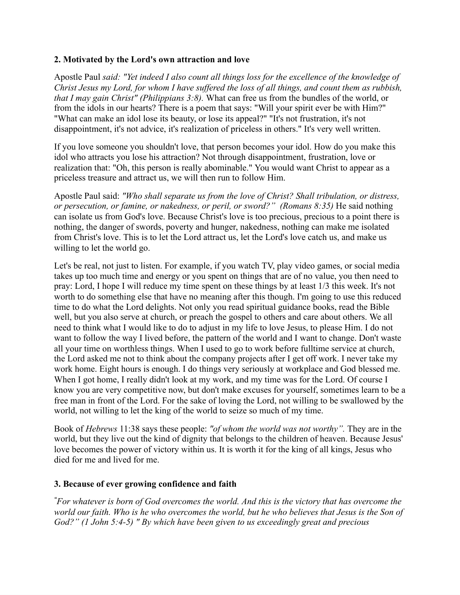#### **2. Motivated by the Lord's own attraction and love**

Apostle Paul *said: "Yet indeed I also count all things loss for the excellence of the knowledge of* Christ Jesus my Lord, for whom I have suffered the loss of all things, and count them as rubbish, *that I may gain Christ" (Philippians 3:8).* What can free us from the bundles of the world, or from the idols in our hearts? There is a poem that says: "Will your spirit ever be with Him?" "What can make an idol lose its beauty, or lose its appeal?" "It's not frustration, it's not disappointment, it's not advice, it's realization of priceless in others." It's very well written.

If you love someone you shouldn't love, that person becomes your idol. How do you make this idol who attracts you lose his attraction? Not through disappointment, frustration, love or realization that: "Oh, this person is really abominable." You would want Christ to appear as a priceless treasure and attract us, we will then run to follow Him.

Apostle Paul said: *"Who shall separate us from the love of Christ? Shall tribulation, or distress, or persecution, or famine, or nakedness, or peril, or sword?" (Romans 8:35)* He said nothing can isolate us from God's love. Because Christ's love is too precious, precious to a point there is nothing, the danger of swords, poverty and hunger, nakedness, nothing can make me isolated from Christ's love. This is to let the Lord attract us, let the Lord's love catch us, and make us willing to let the world go.

Let's be real, not just to listen. For example, if you watch TV, play video games, or social media takes up too much time and energy or you spent on things that are of no value, you then need to pray: Lord, I hope I will reduce my time spent on these things by at least 1/3 this week. It's not worth to do something else that have no meaning after this though. I'm going to use this reduced time to do what the Lord delights. Not only you read spiritual guidance books, read the Bible well, but you also serve at church, or preach the gospel to others and care about others. We all need to think what I would like to do to adjust in my life to love Jesus, to please Him. I do not want to follow the way I lived before, the pattern of the world and I want to change. Don't waste all your time on worthless things. When I used to go to work before fulltime service at church, the Lord asked me not to think about the company projects after I get off work. I never take my work home. Eight hours is enough. I do things very seriously at workplace and God blessed me. When I got home, I really didn't look at my work, and my time was for the Lord. Of course I know you are very competitive now, but don't make excuses for yourself, sometimes learn to be a free man in front of the Lord. For the sake of loving the Lord, not willing to be swallowed by the world, not willing to let the king of the world to seize so much of my time.

Book of *Hebrews* 11:38 says these people: *"of whom the world was not worthy".* They are in the world, but they live out the kind of dignity that belongs to the children of heaven. Because Jesus' love becomes the power of victory within us. It is worth it for the king of all kings, Jesus who died for me and lived for me.

#### **3. Because of ever growing confidence and faith**

"For whatever is born of God overcomes the world. And this is the victory that has overcome the world our faith. Who is he who overcomes the world, but he who believes that Jesus is the Son of *God?" (1 John 5:4-5) " By which have been given to us exceedingly great and precious*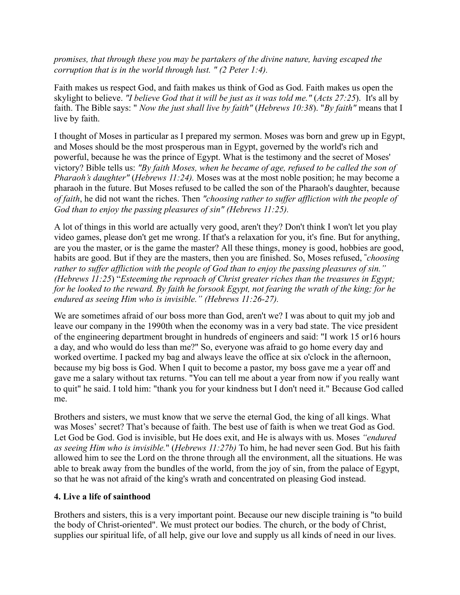*promises, that through these you may be partakers of the divine nature, having escaped the corruption that is in the world through lust. " (2 Peter 1:4).*

Faith makes us respect God, and faith makes us think of God as God. Faith makes us open the skylight to believe. *"I believe God that it will be just as it was told me."* (*Acts 27:25*). It's all by faith. The Bible says: " *Now the just shall live by faith"* (*Hebrews 10:38*). "*By faith"* means that I live by faith.

I thought of Moses in particular as I prepared my sermon. Moses was born and grew up in Egypt, and Moses should be the most prosperous man in Egypt, governed by the world's rich and powerful, because he was the prince of Egypt. What is the testimony and the secret of Moses' victory? Bible tells us: *"By faith Moses, when he became of age, refused to be called the son of Pharaoh's daughter"* (*Hebrews 11:24).* Moses was at the most noble position; he may become a pharaoh in the future. But Moses refused to be called the son of the Pharaoh's daughter, because *of faith*, he did not want the riches. Then *"choosing rather to suffer affliction with the people of God than to enjoy the passing pleasures of sin" (Hebrews 11:25).*

A lot of things in this world are actually very good, aren't they? Don't think I won't let you play video games, please don't get me wrong. If that's a relaxation for you, it's fine. But for anything, are you the master, or is the game the master? All these things, money is good, hobbies are good, habits are good. But if they are the masters, then you are finished. So, Moses refused, **"***choosing rather to suffer affliction with the people of God than to enjoy the passing pleasures of sin." (Hebrews 11:25*) "*Esteeming the reproach of Christ greater riches than the treasures in Egypt;* for he looked to the reward. By faith he forsook Egypt, not fearing the wrath of the king; for he *endured as seeing Him who is invisible." (Hebrews 11:26-27).*

We are sometimes afraid of our boss more than God, aren't we? I was about to quit my job and leave our company in the 1990th when the economy was in a very bad state. The vice president of the engineering department brought in hundreds of engineers and said: "I work 15 or16 hours a day, and who would do less than me?" So, everyone was afraid to go home every day and worked overtime. I packed my bag and always leave the office at six o'clock in the afternoon, because my big boss is God. When I quit to become a pastor, my boss gave me a year off and gave me a salary without tax returns. "You can tell me about a year from now if you really want to quit" he said. I told him: "thank you for your kindness but I don't need it." Because God called me.

Brothers and sisters, we must know that we serve the eternal God, the king of all kings. What was Moses' secret? That's because of faith. The best use of faith is when we treat God as God. Let God be God. God is invisible, but He does exit, and He is always with us. Moses *"endured as seeing Him who is invisible.*" (*Hebrews 11:27b)* To him, he had never seen God. But his faith allowed him to see the Lord on the throne through all the environment, all the situations. He was able to break away from the bundles of the world, from the joy of sin, from the palace of Egypt, so that he was not afraid of the king's wrath and concentrated on pleasing God instead.

#### **4. Live a life of sainthood**

Brothers and sisters, this is a very important point. Because our new disciple training is "to build the body of Christ-oriented". We must protect our bodies. The church, or the body of Christ, supplies our spiritual life, of all help, give our love and supply us all kinds of need in our lives.